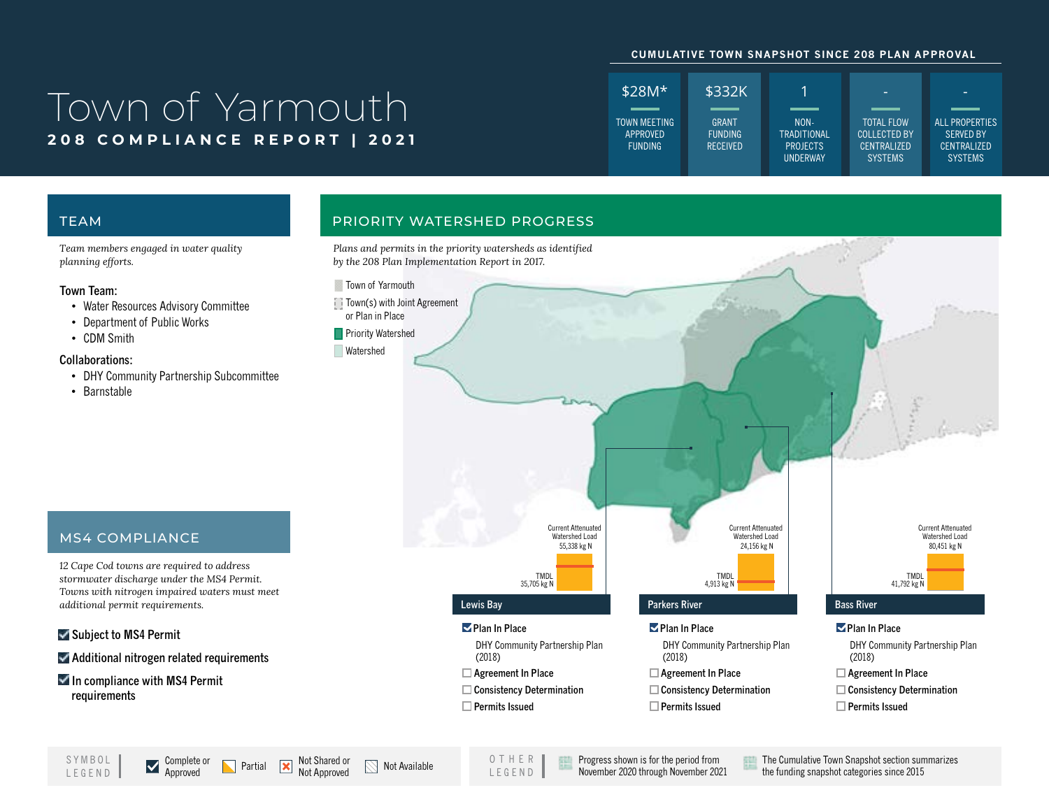### **CUMULATIVE TOWN SNAPSHOT SINCE 208 PLAN APPROVAL**

# **208 COMPLIANCE REPORT | 2021**



*Team members engaged in water quality planning efforts.*

### **Town Team:**

- Water Resources Advisory Committee
- Department of Public Works

MS4 COMPLIANCE

*additional permit requirements.*

**In compliance with MS4 Permit** 

**Subject to MS4 Permit** 

**requirements**

*12 Cape Cod towns are required to address stormwater discharge under the MS4 Permit. Towns with nitrogen impaired waters must meet* 

**Additional nitrogen related requirements**

• CDM Smith

## **Collaborations:**

- DHY Community Partnership Subcommittee
- Barnstable

LEGEND

## TEAM PRIORITY WATERSHED PROGRESS

*Plans and permits in the priority watersheds as identified by the 208 Plan Implementation Report in 2017.*



 **Permits Issued**

## SYMBOL Complete or  $\sum$  Partial  $\sum$  Not Shared or  $\sum$  Not Available

OTHER LEGEND

Progress shown is for the period from November 2020 through November 2021 The Cumulative Town Snapshot section summarizes the funding snapshot categories since 2015